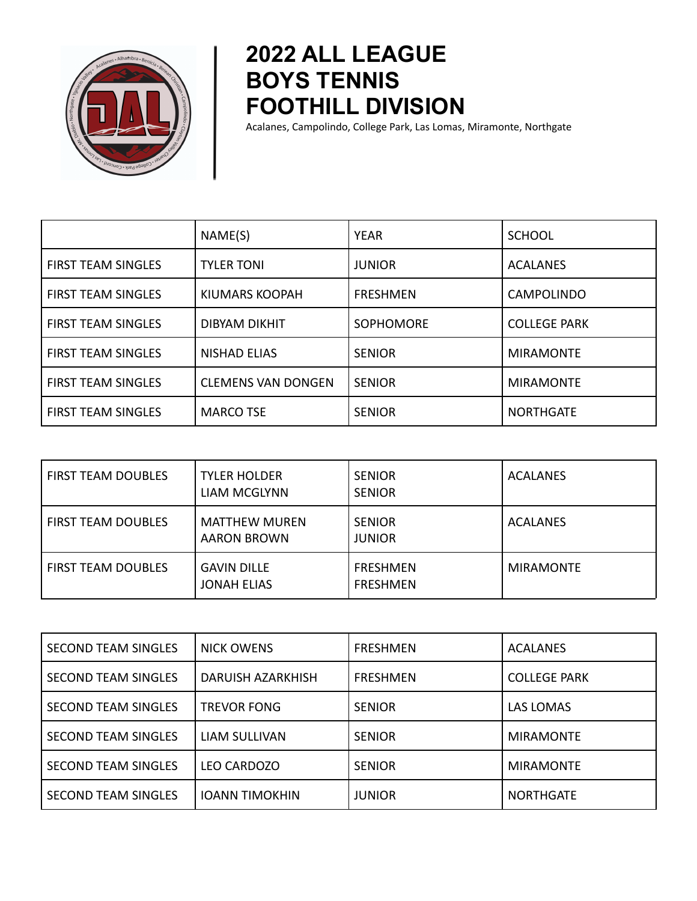

## **2022 ALL LEAGUE BOYS TENNIS FOOTHILL DIVISION**

Acalanes, Campolindo, College Park, Las Lomas, Miramonte, Northgate

|                           | NAME(S)                   | <b>YEAR</b>      | <b>SCHOOL</b>       |
|---------------------------|---------------------------|------------------|---------------------|
| <b>FIRST TEAM SINGLES</b> | <b>TYLER TONI</b>         | <b>JUNIOR</b>    | <b>ACALANES</b>     |
| <b>FIRST TEAM SINGLES</b> | KIUMARS KOOPAH            | <b>FRESHMEN</b>  | <b>CAMPOLINDO</b>   |
| <b>FIRST TEAM SINGLES</b> | <b>DIBYAM DIKHIT</b>      | <b>SOPHOMORE</b> | <b>COLLEGE PARK</b> |
| <b>FIRST TEAM SINGLES</b> | <b>NISHAD ELIAS</b>       | <b>SENIOR</b>    | <b>MIRAMONTE</b>    |
| <b>FIRST TEAM SINGLES</b> | <b>CLEMENS VAN DONGEN</b> | <b>SENIOR</b>    | <b>MIRAMONTE</b>    |
| <b>FIRST TEAM SINGLES</b> | <b>MARCO TSE</b>          | <b>SENIOR</b>    | <b>NORTHGATE</b>    |

| <b>FIRST TEAM DOUBLES</b> | <b>TYLER HOLDER</b><br><b>LIAM MCGLYNN</b> | <b>SENIOR</b><br><b>SENIOR</b>     | <b>ACALANES</b>  |
|---------------------------|--------------------------------------------|------------------------------------|------------------|
| <b>FIRST TEAM DOUBLES</b> | <b>MATTHEW MUREN</b><br><b>AARON BROWN</b> | <b>SENIOR</b><br><b>JUNIOR</b>     | <b>ACALANES</b>  |
| <b>FIRST TEAM DOUBLES</b> | <b>GAVIN DILLE</b><br><b>JONAH ELIAS</b>   | <b>FRESHMEN</b><br><b>FRESHMEN</b> | <b>MIRAMONTE</b> |

| <b>SECOND TEAM SINGLES</b> | <b>NICK OWENS</b>     | <b>FRESHMEN</b> | <b>ACALANES</b>     |
|----------------------------|-----------------------|-----------------|---------------------|
| <b>SECOND TEAM SINGLES</b> | DARUISH AZARKHISH     | <b>FRESHMEN</b> | <b>COLLEGE PARK</b> |
| <b>SECOND TEAM SINGLES</b> | <b>TREVOR FONG</b>    | <b>SENIOR</b>   | <b>LAS LOMAS</b>    |
| <b>SECOND TEAM SINGLES</b> | <b>LIAM SULLIVAN</b>  | <b>SENIOR</b>   | <b>MIRAMONTE</b>    |
| <b>SECOND TEAM SINGLES</b> | <b>LEO CARDOZO</b>    | <b>SENIOR</b>   | <b>MIRAMONTE</b>    |
| <b>SECOND TEAM SINGLES</b> | <b>IOANN TIMOKHIN</b> | <b>JUNIOR</b>   | <b>NORTHGATE</b>    |